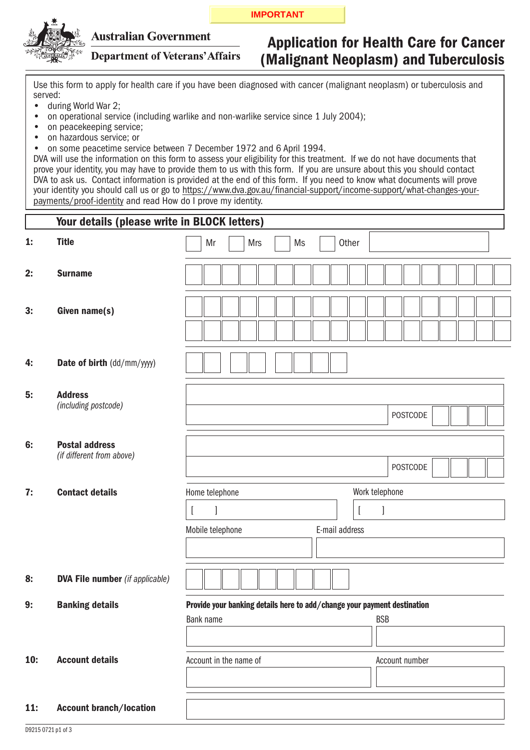#### **IMPORTANT**



## **Australian Government**

**Department of Veterans' Affairs** 

# Application for Health Care for Cancer (Malignant Neoplasm) and Tuberculosis

Use this form to apply for health care if you have been diagnosed with cancer (malignant neoplasm) or tuberculosis and served:

- during World War 2; •
- on operational service (including warlike and non-warlike service since 1 July 2004); •
- on peacekeeping service; •
- on hazardous service; or •
- on some peacetime service between 7 December 1972 and 6 April 1994. •

DVA will use the information on this form to assess your eligibility for this treatment. If we do not have documents that prove your identity, you may have to provide them to us with this form. If you are unsure about this you should contact DVA to ask us. Contact information is provided at the end of this form. If you need to know what documents will prove your identity you should call us or go to https://www.dva.gov.au/financial-support/income-support/what-changes-yourpayments/proof-identity and read How do I prove my identity.

|                              | Your details (please write in BLOCK letters)       |                                                                          |  |
|------------------------------|----------------------------------------------------|--------------------------------------------------------------------------|--|
| 1:                           | <b>Title</b>                                       | Mr<br><b>Mrs</b><br>Ms<br>Other                                          |  |
| 2:                           | <b>Surname</b>                                     |                                                                          |  |
| 3:                           | Given name(s)                                      |                                                                          |  |
| 4:                           | Date of birth (dd/mm/yyyy)                         |                                                                          |  |
| 5:                           | <b>Address</b><br>(including postcode)             | <b>POSTCODE</b>                                                          |  |
| 6:                           | <b>Postal address</b><br>(if different from above) | <b>POSTCODE</b>                                                          |  |
| 7:<br><b>Contact details</b> |                                                    | Work telephone<br>Home telephone                                         |  |
|                              |                                                    | $\mathbf{l}$<br>$\left[ \right]$<br>$\overline{a}$                       |  |
|                              |                                                    | Mobile telephone<br>E-mail address                                       |  |
|                              |                                                    |                                                                          |  |
| 8:                           | <b>DVA File number</b> (if applicable)             |                                                                          |  |
| 9:                           | <b>Banking details</b>                             | Provide your banking details here to add/change your payment destination |  |
|                              |                                                    | Bank name<br><b>BSB</b>                                                  |  |
|                              |                                                    |                                                                          |  |
| 10:                          | <b>Account details</b>                             | Account in the name of<br>Account number                                 |  |
| $11$ :                       | <b>Account branch/location</b>                     |                                                                          |  |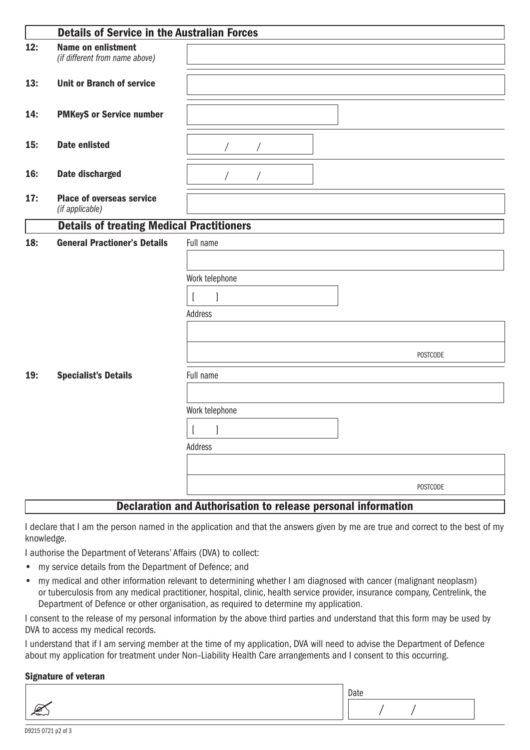|     | <b>Details of Service in the Australian Forces</b>          |                                                               |  |  |
|-----|-------------------------------------------------------------|---------------------------------------------------------------|--|--|
| 12: | <b>Name on enlistment</b><br>(if different from name above) |                                                               |  |  |
| 13: | <b>Unit or Branch of service</b>                            |                                                               |  |  |
| 14: | <b>PMKeyS or Service number</b>                             |                                                               |  |  |
| 15: | <b>Date enlisted</b>                                        |                                                               |  |  |
| 16: | <b>Date discharged</b>                                      |                                                               |  |  |
| 17: | <b>Place of overseas service</b><br>(if applicable)         |                                                               |  |  |
|     | <b>Details of treating Medical Practitioners</b>            |                                                               |  |  |
| 18: | <b>General Practioner's Details</b>                         | Full name                                                     |  |  |
|     |                                                             |                                                               |  |  |
|     |                                                             | Work telephone                                                |  |  |
|     |                                                             |                                                               |  |  |
|     |                                                             | Address                                                       |  |  |
|     |                                                             |                                                               |  |  |
|     |                                                             |                                                               |  |  |
|     |                                                             | <b>POSTCODE</b>                                               |  |  |
| 19: | <b>Specialist's Details</b>                                 | Full name                                                     |  |  |
|     |                                                             |                                                               |  |  |
|     |                                                             | Work telephone                                                |  |  |
|     |                                                             |                                                               |  |  |
|     |                                                             | Address                                                       |  |  |
|     |                                                             |                                                               |  |  |
|     |                                                             |                                                               |  |  |
|     |                                                             | POSTCODE                                                      |  |  |
|     |                                                             | Deeleration and Authorication to release personal information |  |  |

## Declaration and Authorisation to release personal information

I declare that I am the person named in the application and that the answers given by me are true and correct to the best of my knowledge.

I authorise the Department of Veterans' Affairs (DVA) to collect:

- my service details from the Department of Defence; and
- my medical and other information relevant to determining whether I am diagnosed with cancer (malignant neoplasm) or tuberculosis from any medical practitioner, hospital, clinic, health service provider, insurance company, Centrelink, the Department of Defence or other organisation, as required to determine my application. •

I consent to the release of my personal information by the above third parties and understand that this form may be used by DVA to access my medical records.

I understand that if I am serving member at the time of my application, DVA will need to advise the Department of Defence about my application for treatment under Non–Liability Health Care arrangements and I consent to this occurring.

## Signature of veteran

| Date |
|------|
|      |
|      |